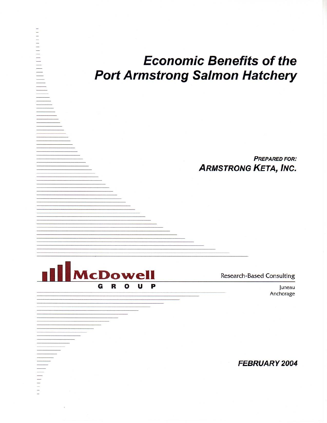# **Economic Benefits of the Port Armstrong Salmon Hatchery**

**PREPARED FOR: ARMSTRONG KETA, INC.** 

**McDowell** G R U P  $\mathbf{o}$ 

THE CONTROLLER

**Research-Based Consulting** 

Juneau Anchorage

**FEBRUARY 2004**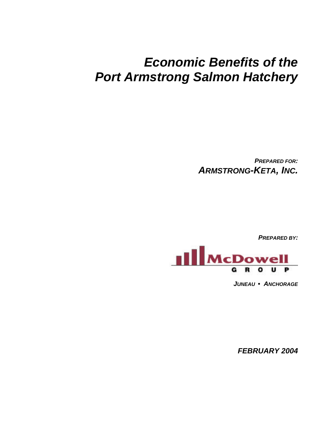# *Economic Benefits of the Port Armstrong Salmon Hatchery*

*PREPARED FOR: ARMSTRONG-KETA, INC.*

*PREPARED BY:*



*JUNEAU • ANCHORAGE*

*FEBRUARY 2004*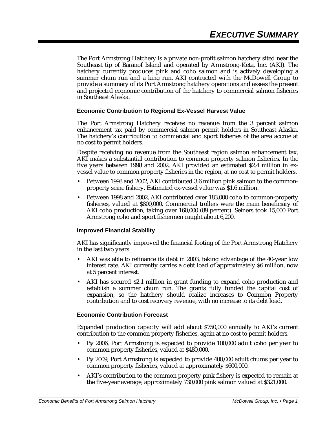The Port Armstrong Hatchery is a private non-profit salmon hatchery sited near the Southeast tip of Baranof Island and operated by Armstrong-Keta, Inc. (AKI). The hatchery currently produces pink and coho salmon and is actively developing a summer chum run and a king run. AKI contracted with the McDowell Group to provide a summary of its Port Armstrong hatchery operations and assess the present and projected economic contribution of the hatchery to commercial salmon fisheries in Southeast Alaska.

#### **Economic Contribution to Regional Ex-Vessel Harvest Value**

The Port Armstrong Hatchery receives no revenue from the 3 percent salmon enhancement tax paid by commercial salmon permit holders in Southeast Alaska. The hatchery's contribution to commercial and sport fisheries of the area accrue at no cost to permit holders.

Despite receiving no revenue from the Southeast region salmon enhancement tax, AKI makes a substantial contribution to common property salmon fisheries. In the five years between 1998 and 2002, AKI provided an estimated \$2.4 million in exvessel value to common property fisheries in the region, at no cost to permit holders.

- Between 1998 and 2002, AKI contributed 3.6 million pink salmon to the commonproperty seine fishery. Estimated ex-vessel value was \$1.6 million.
- Between 1998 and 2002, AKI contributed over 183,000 coho to common-property fisheries, valued at \$800,000. Commercial trollers were the main beneficiary of AKI coho production, taking over 160,000 (89 percent). Seiners took 15,000 Port Armstrong coho and sport fishermen caught about 6,200.

#### **Improved Financial Stability**

AKI has significantly improved the financial footing of the Port Armstrong Hatchery in the last two years.

- AKI was able to refinance its debt in 2003, taking advantage of the 40-year low interest rate. AKI currently carries a debt load of approximately \$6 million, now at 5 percent interest.
- AKI has secured \$2.1 million in grant funding to expand coho production and establish a summer chum run. The grants fully funded the capital cost of expansion, so the hatchery should realize increases to Common Property contribution and to cost recovery revenue, with no increase to its debt load.

#### **Economic Contribution Forecast**

Expanded production capacity will add about \$750,000 annually to AKI's current contribution to the common property fisheries, again at no cost to permit holders.

- By 2006, Port Armstrong is expected to provide 100,000 adult coho per year to common property fisheries, valued at \$480,000.
- By 2009, Port Armstrong is expected to provide 400,000 adult chums per year to common property fisheries, valued at approximately \$600,000.
- AKI's contribution to the common property pink fishery is expected to remain at the five-year average, approximately 730,000 pink salmon valued at \$321,000.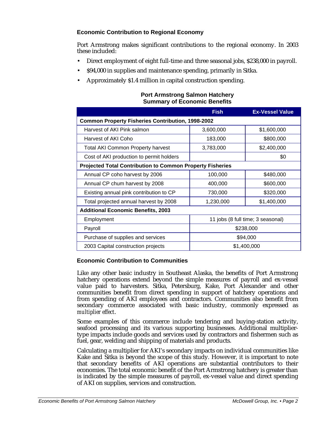### **Economic Contribution to Regional Economy**

Port Armstrong makes significant contributions to the regional economy. In 2003 these included:

- Direct employment of eight full-time and three seasonal jobs, \$238,000 in payroll.
- \$94,000 in supplies and maintenance spending, primarily in Sitka.
- Approximately \$1.4 million in capital construction spending.

|                                                                  | <b>Fish</b>                       | <b>Ex-Vessel Value</b> |  |  |  |
|------------------------------------------------------------------|-----------------------------------|------------------------|--|--|--|
| <b>Common Property Fisheries Contribution, 1998-2002</b>         |                                   |                        |  |  |  |
| Harvest of AKI Pink salmon                                       | 3,600,000                         | \$1,600,000            |  |  |  |
| Harvest of AKI Coho                                              | 183,000                           | \$800,000              |  |  |  |
| <b>Total AKI Common Property harvest</b>                         | 3,783,000                         | \$2,400,000            |  |  |  |
| Cost of AKI production to permit holders                         |                                   | \$0                    |  |  |  |
| <b>Projected Total Contribution to Common Property Fisheries</b> |                                   |                        |  |  |  |
| Annual CP coho harvest by 2006                                   | 100,000                           | \$480,000              |  |  |  |
| Annual CP chum harvest by 2008                                   | 400,000                           | \$600,000              |  |  |  |
| Existing annual pink contribution to CP                          | 730,000                           | \$320,000              |  |  |  |
| Total projected annual harvest by 2008                           | 1,230,000                         | \$1,400,000            |  |  |  |
| <b>Additional Economic Benefits, 2003</b>                        |                                   |                        |  |  |  |
| Employment                                                       | 11 jobs (8 full time; 3 seasonal) |                        |  |  |  |
| Payroll                                                          | \$238,000                         |                        |  |  |  |
| Purchase of supplies and services                                | \$94,000                          |                        |  |  |  |
| 2003 Capital construction projects                               | \$1,400,000                       |                        |  |  |  |

#### **Port Armstrong Salmon Hatchery Summary of Economic Benefits**

#### **Economic Contribution to Communities**

Like any other basic industry in Southeast Alaska, the benefits of Port Armstrong hatchery operations extend beyond the simple measures of payroll and ex-vessel value paid to harvesters. Sitka, Petersburg, Kake, Port Alexander and other communities benefit from direct spending in support of hatchery operations and from spending of AKI employees and contractors. Communities also benefit from secondary commerce associated with basic industry, commonly expressed as *multiplier effect*.

Some examples of this commerce include tendering and buying-station activity, seafood processing and its various supporting businesses. Additional multipliertype impacts include goods and services used by contractors and fishermen such as fuel, gear, welding and shipping of materials and products.

Calculating a multiplier for AKI's secondary impacts on individual communities like Kake and Sitka is beyond the scope of this study. However, it is important to note that secondary benefits of AKI operations are substantial contributors to their economies. The total economic benefit of the Port Armstrong hatchery is greater than is indicated by the simple measures of payroll, ex-vessel value and direct spending of AKI on supplies, services and construction.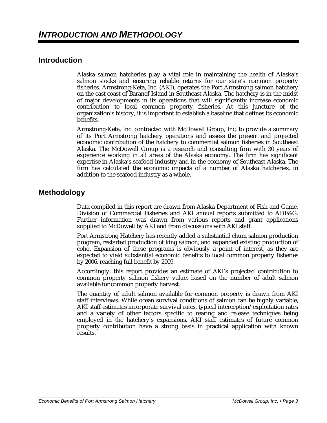## **Introduction**

Alaska salmon hatcheries play a vital role in maintaining the health of Alaska's salmon stocks and ensuring reliable returns for our state's common property fisheries. Armstrong-Keta, Inc. (AKI), operates the Port Armstrong salmon hatchery on the east coast of Baranof Island in Southeast Alaska. The hatchery is in the midst of major developments in its operations that will significantly increase economic contribution to local common property fisheries. At this juncture of the organization's history, it is important to establish a baseline that defines its economic benefits.

Armstrong-Keta, Inc. contracted with McDowell Group, Inc, to provide a summary of its Port Armstrong hatchery operations and assess the present and projected economic contribution of the hatchery to commercial salmon fisheries in Southeast Alaska. The McDowell Group is a research and consulting firm with 30 years of experience working in all areas of the Alaska economy. The firm has significant expertise in Alaska's seafood industry and in the economy of Southeast Alaska. The firm has calculated the economic impacts of a number of Alaska hatcheries, in addition to the seafood industry as a whole.

## **Methodology**

Data compiled in this report are drawn from Alaska Department of Fish and Game, Division of Commercial Fisheries and AKI annual reports submitted to ADF&G. Further information was drawn from various reports and grant applications supplied to McDowell by AKI and from discussions with AKI staff.

Port Armstrong Hatchery has recently added a substantial chum salmon production program, restarted production of king salmon, and expanded existing production of coho. Expansion of these programs is obviously a point of interest, as they are expected to yield substantial economic benefits to local common property fisheries by 2006, reaching full benefit by 2009.

Accordingly, this report provides an estimate of AKI's projected contribution to common property salmon fishery value, based on the number of adult salmon available for common property harvest.

The quantity of adult salmon available for common property is drawn from AKI staff interviews. While ocean survival conditions of salmon can be highly variable, AKI staff estimates incorporate survival rates, typical interception/exploitation rates and a variety of other factors specific to rearing and release techniques being employed in the hatchery's expansions. AKI staff estimates of future common property contribution have a strong basis in practical application with known results.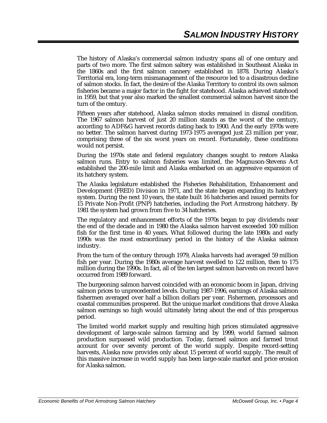The history of Alaska's commercial salmon industry spans all of one century and parts of two more. The first salmon saltery was established in Southeast Alaska in the 1860s and the first salmon cannery established in 1878. During Alaska's Territorial era, long-term mismanagement of the resource led to a disastrous decline of salmon stocks. In fact, the desire of the Alaska Territory to control its own salmon fisheries became a major factor in the fight for statehood. Alaska achieved statehood in 1959, but that year also marked the smallest commercial salmon harvest since the turn of the century.

Fifteen years after statehood, Alaska salmon stocks remained in dismal condition. The 1967 salmon harvest of just 20 million stands as the worst of the century, according to ADF&G harvest records dating back to 1900. And the early 1970s were no better. The salmon harvest during 1973-1975 averaged just 23 million per year, comprising three of the six worst years on record. Fortunately, these conditions would not persist.

During the 1970s state and federal regulatory changes sought to restore Alaska salmon runs. Entry to salmon fisheries was limited, the Magnuson-Stevens Act established the 200-mile limit and Alaska embarked on an aggressive expansion of its hatchery system.

The Alaska legislature established the Fisheries Rehabilitation, Enhancement and Development (FRED) Division in 1971, and the state began expanding its hatchery system. During the next 10 years, the state built 16 hatcheries and issued permits for 15 Private Non-Profit (PNP) hatcheries, including the Port Armstrong hatchery. By 1981 the system had grown from five to 34 hatcheries.

The regulatory and enhancement efforts of the 1970s began to pay dividends near the end of the decade and in 1980 the Alaska salmon harvest exceeded 100 million fish for the first time in 40 years. What followed during the late 1980s and early 1990s was the most extraordinary period in the history of the Alaska salmon industry.

From the turn of the century through 1979, Alaska harvests had averaged 59 million fish per year. During the 1980s average harvest swelled to 122 million, then to 175 million during the 1990s. In fact, all of the ten largest salmon harvests on record have occurred from 1989 forward.

The burgeoning salmon harvest coincided with an economic boom in Japan, driving salmon prices to unprecedented levels. During 1987-1996, earnings of Alaska salmon fishermen averaged over half a billion dollars per year. Fishermen, processors and coastal communities prospered. But the unique market conditions that drove Alaska salmon earnings so high would ultimately bring about the end of this prosperous period.

The limited world market supply and resulting high prices stimulated aggressive development of large-scale salmon farming and by 1999, world farmed salmon production surpassed wild production. Today, farmed salmon and farmed trout account for over seventy percent of the world supply. Despite record-setting harvests, Alaska now provides only about 15 percent of world supply. The result of this massive increase in world supply has been large-scale market and price erosion for Alaska salmon.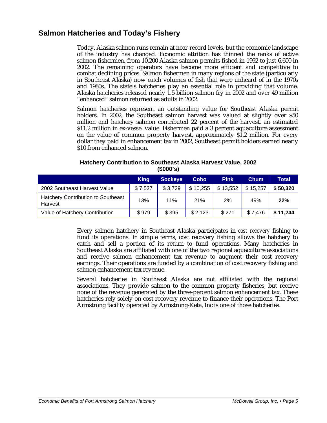## **Salmon Hatcheries and Today's Fishery**

Today, Alaska salmon runs remain at near-record levels, but the economic landscape of the industry has changed. Economic attrition has thinned the ranks of active salmon fishermen, from 10,200 Alaska salmon permits fished in 1992 to just 6,600 in 2002. The remaining operators have become more efficient and competitive to combat declining prices. Salmon fishermen in many regions of the state (particularly in Southeast Alaska) now catch volumes of fish that were unheard of in the 1970s and 1980s. The state's hatcheries play an essential role in providing that volume. Alaska hatcheries released nearly 1.5 billion salmon fry in 2002 and over 49 million "enhanced" salmon returned as adults in 2002.

Salmon hatcheries represent an outstanding value for Southeast Alaska permit holders. In 2002, the Southeast salmon harvest was valued at slightly over \$50 million and hatchery salmon contributed 22 percent of the harvest, an estimated \$11.2 million in ex-vessel value. Fishermen paid a 3 percent aquaculture assessment on the value of common property harvest, approximately \$1.2 million. For every dollar they paid in enhancement tax in 2002, Southeast permit holders earned nearly \$10 from enhanced salmon.

|                                                      | <b>King</b> | <b>Sockeye</b> | Coho       | <b>Pink</b> | <b>Chum</b> | Total    |
|------------------------------------------------------|-------------|----------------|------------|-------------|-------------|----------|
| 2002 Southeast Harvest Value                         | \$7,527     | \$3,729        | \$10,255   | \$13,552    | \$15,257    | \$50,320 |
| <b>Hatchery Contribution to Southeast</b><br>Harvest | 13%         | 11%            | <b>21%</b> | 2%          | 49%         | 22%      |
| Value of Hatchery Contribution                       | \$979       | \$395          | \$2,123    | \$271       | \$7,476     | \$11,244 |

#### **Hatchery Contribution to Southeast Alaska Harvest Value, 2002 (\$000's)**

Every salmon hatchery in Southeast Alaska participates in *cost recovery* fishing to fund its operations. In simple terms, cost recovery fishing allows the hatchery to catch and sell a portion of its return to fund operations. Many hatcheries in Southeast Alaska are affiliated with one of the two regional aquaculture associations and receive salmon enhancement tax revenue to augment their cost recovery earnings. Their operations are funded by a combination of cost recovery fishing and salmon enhancement tax revenue.

Several hatcheries in Southeast Alaska are not affiliated with the regional associations. They provide salmon to the common property fisheries, but receive none of the revenue generated by the three-percent salmon enhancement tax. These hatcheries rely solely on cost recovery revenue to finance their operations. The Port Armstrong facility operated by Armstrong-Keta, Inc is one of those hatcheries.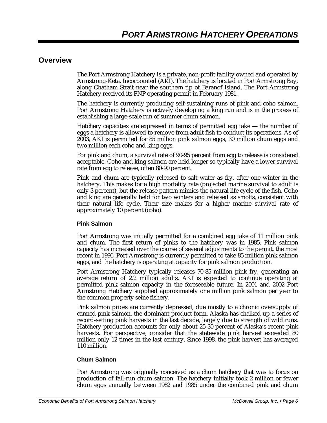### **Overview**

The Port Armstrong Hatchery is a private, non-profit facility owned and operated by Armstrong-Keta, Incorporated (AKI). The hatchery is located in Port Armstrong Bay, along Chatham Strait near the southern tip of Baranof Island. The Port Armstrong Hatchery received its PNP operating permit in February 1981.

The hatchery is currently producing self-sustaining runs of pink and coho salmon. Port Armstrong Hatchery is actively developing a king run and is in the process of establishing a large-scale run of summer chum salmon.

Hatchery capacities are expressed in terms of permitted egg take — the number of eggs a hatchery is allowed to remove from adult fish to conduct its operations. As of 2003, AKI is permitted for 85 million pink salmon eggs, 30 million chum eggs and two million each coho and king eggs.

For pink and chum, a survival rate of 90-95 percent from egg to release is considered acceptable. Coho and king salmon are held longer so typically have a lower survival rate from egg to release, often 80-90 percent.

Pink and chum are typically released to salt water as fry, after one winter in the hatchery. This makes for a high mortality rate (projected marine survival to adult is only 3 percent), but the release pattern mimics the natural life cycle of the fish. Coho and king are generally held for two winters and released as smolts, consistent with their natural life cycle. Their size makes for a higher marine survival rate of approximately 10 percent (coho).

#### **Pink Salmon**

Port Armstrong was initially permitted for a combined egg take of 11 million pink and chum. The first return of pinks to the hatchery was in 1985. Pink salmon capacity has increased over the course of several adjustments to the permit, the most recent in 1996. Port Armstrong is currently permitted to take 85 million pink salmon eggs, and the hatchery is operating at capacity for pink salmon production.

Port Armstrong Hatchery typically releases 70-85 million pink fry, generating an average return of 2.2 million adults. AKI is expected to continue operating at permitted pink salmon capacity in the foreseeable future. In 2001 and 2002 Port Armstrong Hatchery supplied approximately one million pink salmon per year to the common property seine fishery.

Pink salmon prices are currently depressed, due mostly to a chronic oversupply of canned pink salmon, the dominant product form. Alaska has chalked up a series of record-setting pink harvests in the last decade, largely due to strength of wild runs. Hatchery production accounts for only about 25-30 percent of Alaska's recent pink harvests. For perspective, consider that the statewide pink harvest exceeded 80 million only 12 times in the last century. Since 1998, the pink harvest has averaged 110 million.

#### **Chum Salmon**

Port Armstrong was originally conceived as a chum hatchery that was to focus on production of fall-run chum salmon. The hatchery initially took 2 million or fewer chum eggs annually between 1982 and 1985 under the combined pink and chum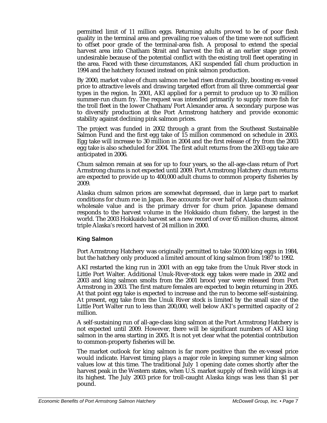permitted limit of 11 million eggs. Returning adults proved to be of poor flesh quality in the terminal area and prevailing roe values of the time were not sufficient to offset poor grade of the terminal-area fish. A proposal to extend the special harvest area into Chatham Strait and harvest the fish at an earlier stage proved undesirable because of the potential conflict with the existing troll fleet operating in the area. Faced with these circumstances, AKI suspended fall chum production in 1994 and the hatchery focused instead on pink salmon production.

By 2000, market value of chum salmon roe had risen dramatically, boosting ex-vessel price to attractive levels and drawing targeted effort from all three commercial gear types in the region. In 2001, AKI applied for a permit to produce up to 30 million summer-run chum fry. The request was intended primarily to supply more fish for the troll fleet in the lower Chatham/Port Alexander area. A secondary purpose was to diversify production at the Port Armstrong hatchery and provide economic stability against declining pink salmon prices.

The project was funded in 2002 through a grant from the Southeast Sustainable Salmon Fund and the first egg take of 15 million commenced on schedule in 2003. Egg take will increase to 30 million in 2004 and the first release of fry from the 2003 egg take is also scheduled for 2004. The first adult returns from the 2003 egg take are anticipated in 2006.

Chum salmon remain at sea for up to four years, so the all-age-class return of Port Armstrong chums is not expected until 2009. Port Armstrong Hatchery chum returns are expected to provide up to 400,000 adult chums to common property fisheries by 2009.

Alaska chum salmon prices are somewhat depressed, due in large part to market conditions for chum roe in Japan. Roe accounts for over half of Alaska chum salmon wholesale value and is the primary driver for chum price. Japanese demand responds to the harvest volume in the Hokkaido chum fishery, the largest in the world. The 2003 Hokkaido harvest set a new record of over 65 million chums, almost triple Alaska's record harvest of 24 million in 2000.

#### **King Salmon**

Port Armstrong Hatchery was originally permitted to take 50,000 king eggs in 1984, but the hatchery only produced a limited amount of king salmon from 1987 to 1992.

AKI restarted the king run in 2001 with an egg take from the Unuk River stock in Little Port Walter. Additional Unuk-River-stock egg takes were made in 2002 and 2003 and king salmon smolts from the 2001 brood year were released from Port Armstrong in 2003. The first mature females are expected to begin returning in 2005. At that point egg take is expected to increase and the run to become self-sustaining. At present, egg take from the Unuk River stock is limited by the small size of the Little Port Walter run to less than 200,000, well below AKI's permitted capacity of 2 million.

A self-sustaining run of all-age-class king salmon at the Port Armstrong Hatchery is not expected until 2009. However, there will be significant numbers of AKI king salmon in the area starting in 2005. It is not yet clear what the potential contribution to common-property fisheries will be.

The market outlook for king salmon is far more positive than the ex-vessel price would indicate. Harvest timing plays a major role in keeping summer king salmon values low at this time. The traditional July 1 opening date comes shortly after the harvest peak in the Western states, when U.S. market supply of fresh wild kings is at its highest. The July 2003 price for troll-caught Alaska kings was less than \$1 per pound.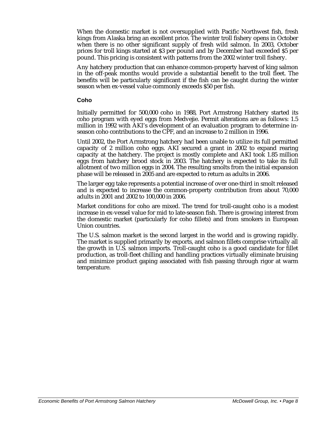When the domestic market is not oversupplied with Pacific Northwest fish, fresh kings from Alaska bring an excellent price. The winter troll fishery opens in October when there is no other significant supply of fresh wild salmon. In 2003, October prices for troll kings started at \$3 per pound and by December had exceeded \$5 per pound. This pricing is consistent with patterns from the 2002 winter troll fishery.

Any hatchery production that can enhance common-property harvest of king salmon in the off-peak months would provide a substantial benefit to the troll fleet. The benefits will be particularly significant if the fish can be caught during the winter season when ex-vessel value commonly exceeds \$50 per fish.

#### **Coho**

Initially permitted for 500,000 coho in 1988, Port Armstrong Hatchery started its coho program with eyed eggs from Medvejie. Permit alterations are as follows: 1.5 million in 1992 with AKI's development of an evaluation program to determine inseason coho contributions to the CPF, and an increase to 2 million in 1996.

Until 2002, the Port Armstrong hatchery had been unable to utilize its full permitted capacity of 2 million coho eggs. AKI secured a grant in 2002 to expand rearing capacity at the hatchery. The project is mostly complete and AKI took 1.85 million eggs from hatchery brood stock in 2003. The hatchery is expected to take its full allotment of two million eggs in 2004. The resulting smolts from the initial expansion phase will be released in 2005 and are expected to return as adults in 2006.

The larger egg take represents a potential increase of over one-third in smolt released and is expected to increase the common-property contribution from about 70,000 adults in 2001 and 2002 to 100,000 in 2006.

Market conditions for coho are mixed. The trend for troll-caught coho is a modest increase in ex-vessel value for mid to late-season fish. There is growing interest from the domestic market (particularly for coho fillets) and from smokers in European Union countries.

The U.S. salmon market is the second largest in the world and is growing rapidly. The market is supplied primarily by exports, and salmon fillets comprise virtually all the growth in U.S. salmon imports. Troll-caught coho is a good candidate for fillet production, as troll-fleet chilling and handling practices virtually eliminate bruising and minimize product gaping associated with fish passing through rigor at warm temperature.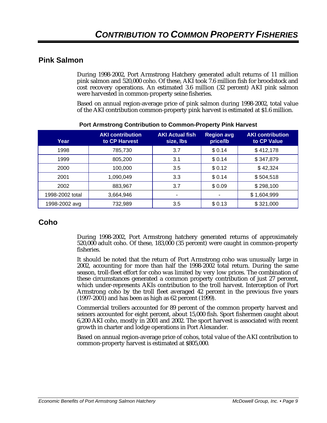## **Pink Salmon**

During 1998-2002, Port Armstrong Hatchery generated adult returns of 11 million pink salmon and 520,000 coho. Of these, AKI took 7.6 million fish for broodstock and cost recovery operations. An estimated 3.6 million (32 percent) AKI pink salmon were harvested in common-property seine fisheries.

Based on annual region-average price of pink salmon during 1998-2002, total value of the AKI contribution common-property pink harvest is estimated at \$1.6 million.

| Year            | <b>AKI</b> contribution<br>to CP Harvest | <b>AKI</b> Actual fish<br>size, lbs | <b>Region avg</b><br>price/lb | <b>AKI contribution</b><br>to CP Value |
|-----------------|------------------------------------------|-------------------------------------|-------------------------------|----------------------------------------|
| 1998            | 785,730                                  | 3.7                                 | \$0.14                        | \$412,178                              |
| 1999            | 805,200                                  | 3.1                                 | \$0.14                        | \$347,879                              |
| 2000            | 100,000                                  | 3.5                                 | \$0.12                        | \$42,324                               |
| 2001            | 1,090,049                                | 3.3                                 | \$0.14                        | \$504,518                              |
| 2002            | 883,967                                  | 3.7                                 | \$0.09                        | \$298,100                              |
| 1998-2002 total | 3,664,946                                |                                     |                               | \$1,604,999                            |
| 1998-2002 avg   | 732,989                                  | 3.5                                 | \$0.13                        | \$321,000                              |

#### **Port Armstrong Contribution to Common-Property Pink Harvest**

# **Coho**

During 1998-2002, Port Armstrong hatchery generated returns of approximately 520,000 adult coho. Of these, 183,000 (35 percent) were caught in common-property fisheries.

It should be noted that the return of Port Armstrong coho was unusually large in 2002, accounting for more than half the 1998-2002 total return. During the same season, troll-fleet effort for coho was limited by very low prices. The combination of these circumstances generated a common property contribution of just 27 percent, which under-represents AKIs contribution to the troll harvest. Interception of Port Armstrong coho by the troll fleet averaged 42 percent in the previous five years (1997-2001) and has been as high as 62 percent (1999).

Commercial trollers accounted for 89 percent of the common property harvest and seiners accounted for eight percent, about 15,000 fish. Sport fishermen caught about 6,200 AKI coho, mostly in 2001 and 2002. The sport harvest is associated with recent growth in charter and lodge operations in Port Alexander.

Based on annual region-average price of cohos, total value of the AKI contribution to common-property harvest is estimated at \$805,000.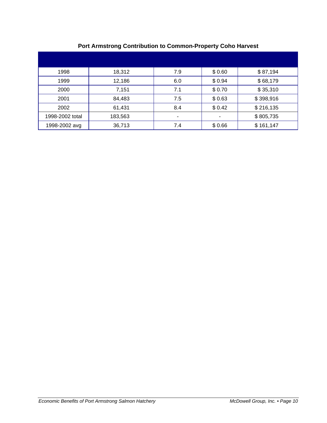| 1998            | 18,312  | 7.9                      | \$0.60 | \$87,194  |
|-----------------|---------|--------------------------|--------|-----------|
| 1999            | 12,186  | 6.0                      | \$0.94 | \$68,179  |
| 2000            | 7,151   | 7.1                      | \$0.70 | \$35,310  |
| 2001            | 84,483  | 7.5                      | \$0.63 | \$398,916 |
| 2002            | 61,431  | 8.4                      | \$0.42 | \$216,135 |
| 1998-2002 total | 183,563 | $\overline{\phantom{a}}$ | ۰      | \$805,735 |
| 1998-2002 avg   | 36,713  | 7.4                      | \$0.66 | \$161,147 |

## **Port Armstrong Contribution to Common-Property Coho Harvest**